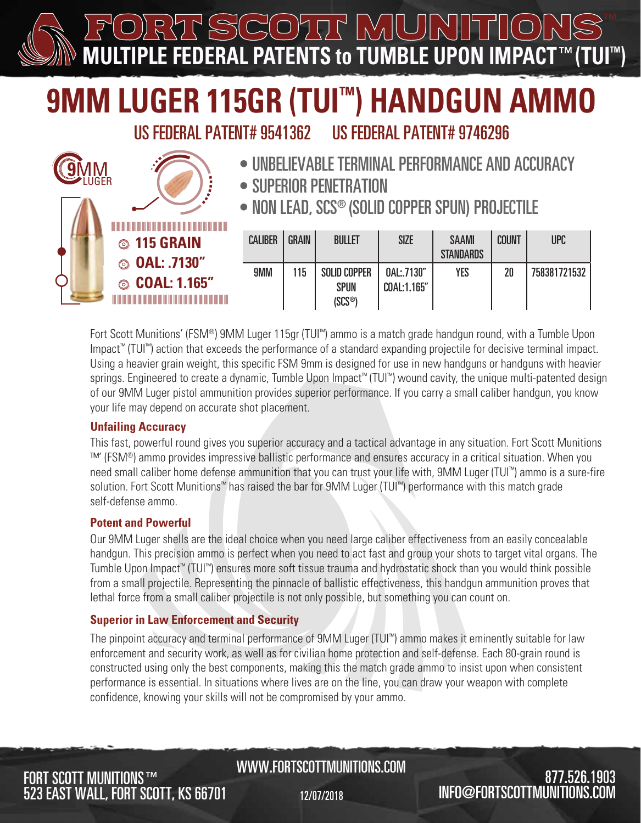<u>IVIIL</u> **MULTIPLE FEDERAL PATENTS to TUMBLE UPON IMPACT** 

# **9MM LUGER 115GR (TUI™) HANDGUN AMMO**

US FEDERAL PATENT# 9541362 US FEDERAL PATENT# 9746296

- UNBELIEVABLE TERMINAL PERFORMANCE AND ACCURACY
- SUPERIOR PENETRATION
- NON LEAD, SCS® (SOLID COPPER SPUN) PROJECTILE

| $\circledcirc$ 115 GRAIN<br>© OAL: .7130" | <b>CALIBER</b> | <b>GRAIN</b> | <b>BULLET</b>       | <b>SIZE</b> | <b>SAAMI</b><br><b>STANDARDS</b> | <b>COUNT</b> | <b>UPC</b>   |
|-------------------------------------------|----------------|--------------|---------------------|-------------|----------------------------------|--------------|--------------|
|                                           | <b>9MM</b>     | 115          | SOLID COPPER        | 0AL:.7130"  | YES                              | 20           | 758381721532 |
| © COAL: 1.165"                            |                |              | <b>SPUN</b>         | COAL:1.165" |                                  |              |              |
|                                           |                |              | (SCS <sup>®</sup> ) |             |                                  |              |              |

Fort Scott Munitions' (FSM®) 9MM Luger 115gr (TUI™) ammo is a match grade handgun round, with a Tumble Upon Impact™ (TUI™) action that exceeds the performance of a standard expanding projectile for decisive terminal impact. Using a heavier grain weight, this specific FSM 9mm is designed for use in new handguns or handguns with heavier springs. Engineered to create a dynamic, Tumble Upon Impact™ (TUI™) wound cavity, the unique multi-patented design of our 9MM Luger pistol ammunition provides superior performance. If you carry a small caliber handgun, you know your life may depend on accurate shot placement.

#### **Unfailing Accuracy**

**9**MM

LUGER

This fast, powerful round gives you superior accuracy and a tactical advantage in any situation. Fort Scott Munitions ™' (FSM®) ammo provides impressive ballistic performance and ensures accuracy in a critical situation. When you need small caliber home defense ammunition that you can trust your life with, 9MM Luger (TUI™) ammo is a sure-fire solution. Fort Scott Munitions<sup>™</sup> has raised the bar for 9MM Luger (TUI<sup>™</sup>) performance with this match grade self-defense ammo.

#### **Potent and Powerful**

Our 9MM Luger shells are the ideal choice when you need large caliber effectiveness from an easily concealable handgun. This precision ammo is perfect when you need to act fast and group your shots to target vital organs. The Tumble Upon Impact™ (TUI™) ensures more soft tissue trauma and hydrostatic shock than you would think possible from a small projectile. Representing the pinnacle of ballistic effectiveness, this handgun ammunition proves that lethal force from a small caliber projectile is not only possible, but something you can count on.

#### **Superior in Law Enforcement and Security**

The pinpoint accuracy and terminal performance of 9MM Luger (TUI™) ammo makes it eminently suitable for law enforcement and security work, as well as for civilian home protection and self-defense. Each 80-grain round is constructed using only the best components, making this the match grade ammo to insist upon when consistent performance is essential. In situations where lives are on the line, you can draw your weapon with complete confidence, knowing your skills will not be compromised by your ammo.

## 523 EAST WALL, FORT SCOTT, KS 66701 **FORT SCOTT MUNITIONS™**

## WWW.FORTSCOTTMUNITIONS.COM

12/07/2018